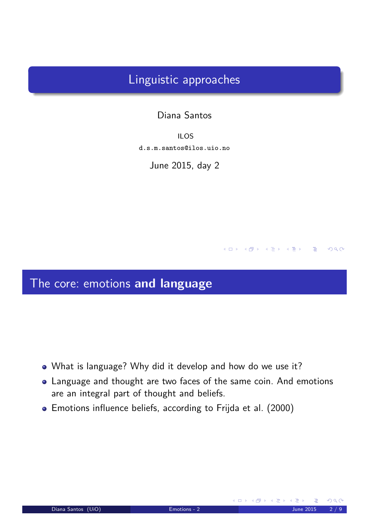## Linguistic approaches

#### Diana Santos

ILOS d.s.m.santos@ilos.uio.no

June 2015, day 2

## The core: emotions **and language**

- What is language? Why did it develop and how do we use it?
- Language and thought are two faces of the same coin. And emotions are an integral part of thought and beliefs.
- <span id="page-0-0"></span>Emotions influence beliefs, according to Frijda et al. (2000)

 $4$  ロ )  $4$   $\oplus$  )  $4$   $\oplus$  )  $4$   $\oplus$  )

 $DQ$ 

 $\geq$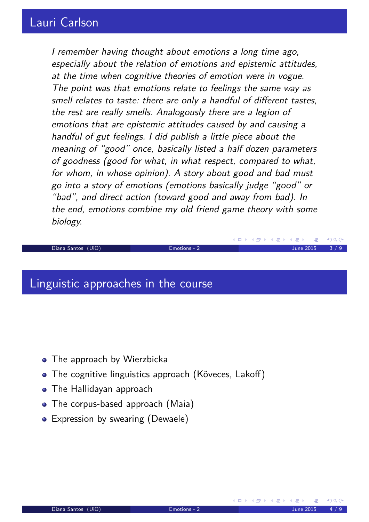### Lauri Carlson

I remember having thought about emotions a long time ago, especially about the relation of emotions and epistemic attitudes, at the time when cognitive theories of emotion were in vogue. The point was that emotions relate to feelings the same way as smell relates to taste: there are only a handful of different tastes, the rest are really smells. Analogously there are a legion of emotions that are epistemic attitudes caused by and causing a handful of gut feelings. I did publish a little piece about the meaning of "good" once, basically listed a half dozen parameters of goodness (good for what, in what respect, compared to what, for whom, in whose opinion). A story about good and bad must go into a story of emotions (emotions basically judge "good" or "bad", and direct action (toward good and away from bad). In the end, emotions combine my old friend game theory with some biology.

Diana Santos (UiO) Emotions - 2 June 2015 3 / 9

#### Linguistic approaches in the course

- The approach by Wierzbicka
- The cognitive linguistics approach (Köveces, Lakoff)
- **The Hallidayan approach**
- The corpus-based approach (Maia)
- <span id="page-1-0"></span>• Expression by swearing (Dewaele)

∢ ロ ▶ (伊 ▶ (唐 ▶ (唐 ▶

 $OQ$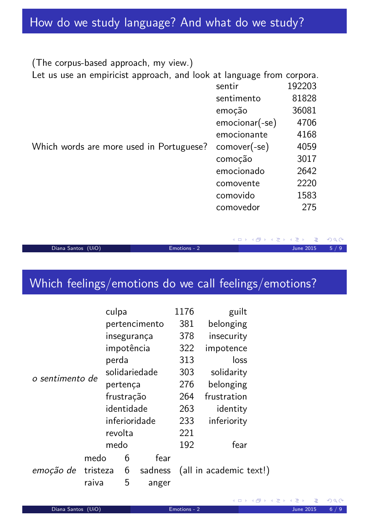# How do we study language? And what do we study?

| (The corpus-based approach, my view.)                                 |                  |        |
|-----------------------------------------------------------------------|------------------|--------|
| Let us use an empiricist approach, and look at language from corpora. |                  |        |
|                                                                       | sentir           | 192203 |
|                                                                       | sentimento       | 81828  |
|                                                                       | emoção           | 36081  |
|                                                                       | $emocionar(-se)$ | 4706   |
|                                                                       | emocionante      | 4168   |
| Which words are more used in Portuguese?                              | $comover(-se)$   | 4059   |
|                                                                       | comoção          | 3017   |
|                                                                       | emocionado       | 2642   |
|                                                                       | comovente        | 2220   |
|                                                                       | comovido         | 1583   |
|                                                                       | comovedor        | 275    |

Diana Santos (UiO) Emotions - 2 June 2015 5 / 9

一番

 $\mathcal{P}(\mathcal{A}) \subset \mathcal{P}(\mathcal{A})$ 

◆ロト→伊ト→唐ト→唐ト

# Which feelings/emotions do we call feelings/emotions?

|                 |          | culpa         |   |         | 1176        | guilt                   |  |
|-----------------|----------|---------------|---|---------|-------------|-------------------------|--|
| o sentimento de |          | pertencimento |   |         | 381         | belonging               |  |
|                 |          | insegurança   |   | 378     | insecurity  |                         |  |
|                 |          | impotência    |   |         | 322         | impotence               |  |
|                 |          | perda         |   | 313     | loss        |                         |  |
|                 |          | solidariedade |   |         | 303         | solidarity              |  |
|                 |          | pertença      |   | 276     | belonging   |                         |  |
|                 |          | frustração    |   | 264     | frustration |                         |  |
|                 |          | identidade    |   | 263     | identity    |                         |  |
|                 |          | inferioridade |   | 233     | inferiority |                         |  |
|                 |          | revolta       |   | 221     |             |                         |  |
|                 |          | medo          |   | 192     | fear        |                         |  |
| emoção de       | medo     |               | 6 | fear    |             |                         |  |
|                 | tristeza |               | 6 | sadness |             | (all in academic text!) |  |
|                 | raiva    |               | 5 | anger   |             |                         |  |

<span id="page-2-0"></span> $\Omega$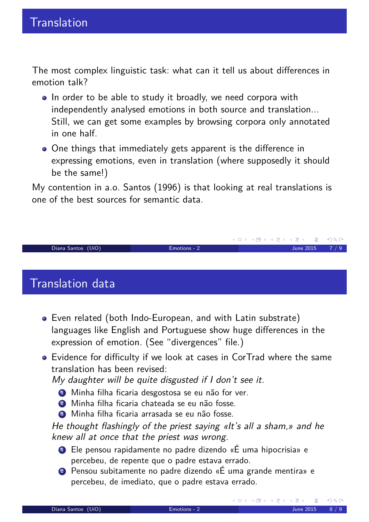The most complex linguistic task: what can it tell us about differences in emotion talk?

- In order to be able to study it broadly, we need corpora with independently analysed emotions in both source and translation... Still, we can get some examples by browsing corpora only annotated in one half.
- One things that immediately gets apparent is the difference in expressing emotions, even in translation (where supposedly it should be the same!)

My contention in a.o. Santos (1996) is that looking at real translations is one of the best sources for semantic data.

Diana Santos (UiO) Emotions - 2 June 2015 7 / 9

### Translation data

- Even related (both Indo-European, and with Latin substrate) languages like English and Portuguese show huge differences in the expression of emotion. (See "divergences" file.)
- Evidence for difficulty if we look at cases in CorTrad where the same translation has been revised:

My daughter will be quite disgusted if I don't see it.

- **1** Minha filha ficaria desgostosa se eu não for ver.
- <sup>2</sup> Minha filha ficaria chateada se eu não fosse.
- <sup>3</sup> Minha filha ficaria arrasada se eu não fosse.

He thought flashingly of the priest saying «It's all a sham,» and he knew all at once that the priest was wrong.

- <sup>1</sup> Ele pensou rapidamente no padre dizendo «É uma hipocrisia» e percebeu, de repente que o padre estava errado.
- <sup>2</sup> Pensou subitamente no padre dizendo «É uma grande mentira» e percebeu, de imediato, que o padre estava errado.

<span id="page-3-0"></span>**≮ロ ▶ ⊀ 伊 ▶** 

≮ロ ▶ ⊀ 御 ▶ ⊀ 君 ▶ ⊀ 君 ▶.

 $DQ$